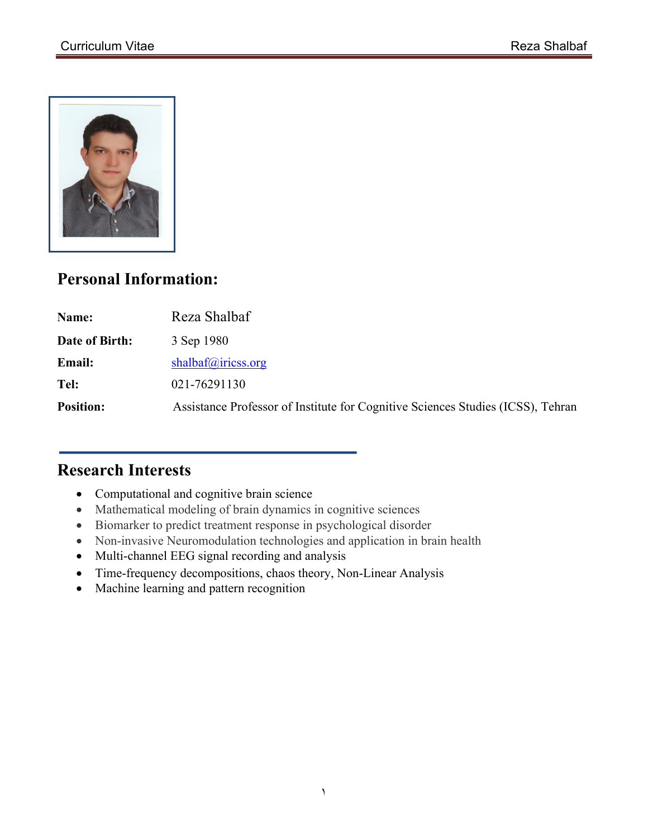

# **Personal Information:**

| Name:            | Reza Shalbaf                                                                    |
|------------------|---------------------------------------------------------------------------------|
| Date of Birth:   | 3 Sep 1980                                                                      |
| <b>Email:</b>    | shalbaf@iricss.org                                                              |
| Tel:             | 021-76291130                                                                    |
| <b>Position:</b> | Assistance Professor of Institute for Cognitive Sciences Studies (ICSS), Tehran |

## **Research Interests**

- Computational and cognitive brain science
- Mathematical modeling of brain dynamics in cognitive sciences
- Biomarker to predict treatment response in psychological disorder
- Non-invasive Neuromodulation technologies and application in brain health
- Multi-channel EEG signal recording and analysis
- Time-frequency decompositions, chaos theory, Non-Linear Analysis
- Machine learning and pattern recognition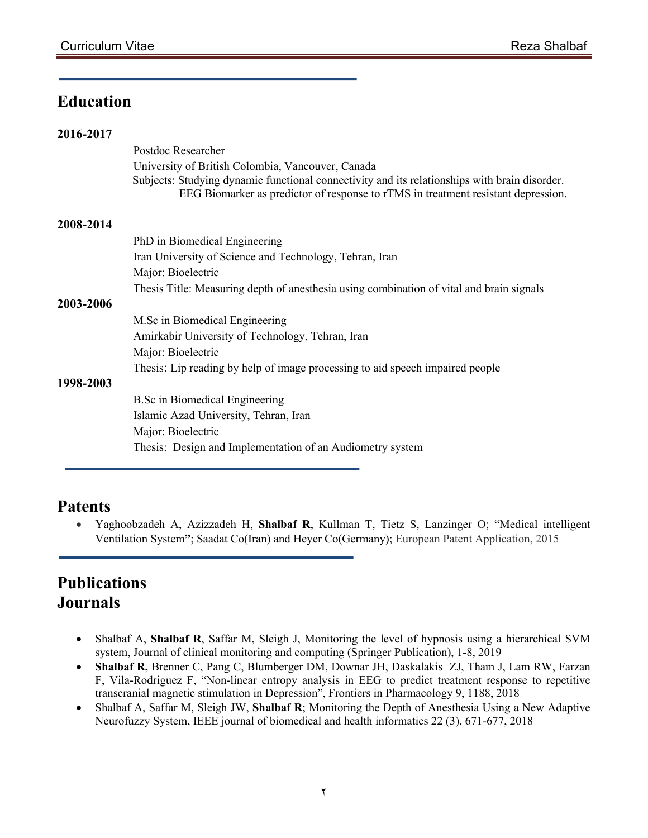# **Education**

| 2016-2017 |                                                                                                                                                                                    |
|-----------|------------------------------------------------------------------------------------------------------------------------------------------------------------------------------------|
|           | Postdoc Researcher                                                                                                                                                                 |
|           | University of British Colombia, Vancouver, Canada                                                                                                                                  |
|           | Subjects: Studying dynamic functional connectivity and its relationships with brain disorder.<br>EEG Biomarker as predictor of response to rTMS in treatment resistant depression. |
| 2008-2014 |                                                                                                                                                                                    |
|           | PhD in Biomedical Engineering                                                                                                                                                      |
|           | Iran University of Science and Technology, Tehran, Iran                                                                                                                            |
|           | Major: Bioelectric                                                                                                                                                                 |
|           | Thesis Title: Measuring depth of anesthesia using combination of vital and brain signals                                                                                           |
| 2003-2006 |                                                                                                                                                                                    |
|           | M.Sc in Biomedical Engineering                                                                                                                                                     |
|           | Amirkabir University of Technology, Tehran, Iran                                                                                                                                   |
|           | Major: Bioelectric                                                                                                                                                                 |
|           | Thesis: Lip reading by help of image processing to aid speech impaired people                                                                                                      |
| 1998-2003 |                                                                                                                                                                                    |
|           | <b>B.Sc in Biomedical Engineering</b>                                                                                                                                              |
|           | Islamic Azad University, Tehran, Iran                                                                                                                                              |
|           | Major: Bioelectric                                                                                                                                                                 |
|           | Thesis: Design and Implementation of an Audiometry system                                                                                                                          |

### **Patents**

• Yaghoobzadeh A, Azizzadeh H, **Shalbaf R**, Kullman T, Tietz S, Lanzinger O; "Medical intelligent Ventilation System**"**; Saadat Co(Iran) and Heyer Co(Germany); European Patent Application, 2015

# **Publications Journals**

- Shalbaf A, **Shalbaf R**, Saffar M, Sleigh J, Monitoring the level of hypnosis using a hierarchical SVM system, Journal of clinical monitoring and computing (Springer Publication), 1-8, 2019
- **Shalbaf R,** Brenner C, Pang C, Blumberger DM, Downar JH, Daskalakis ZJ, Tham J, Lam RW, Farzan F, Vila-Rodriguez F, "Non-linear entropy analysis in EEG to predict treatment response to repetitive transcranial magnetic stimulation in Depression", Frontiers in Pharmacology 9, 1188, 2018
- Shalbaf A, Saffar M, Sleigh JW, **Shalbaf R**; Monitoring the Depth of Anesthesia Using a New Adaptive Neurofuzzy System, IEEE journal of biomedical and health informatics 22 (3), 671-677, 2018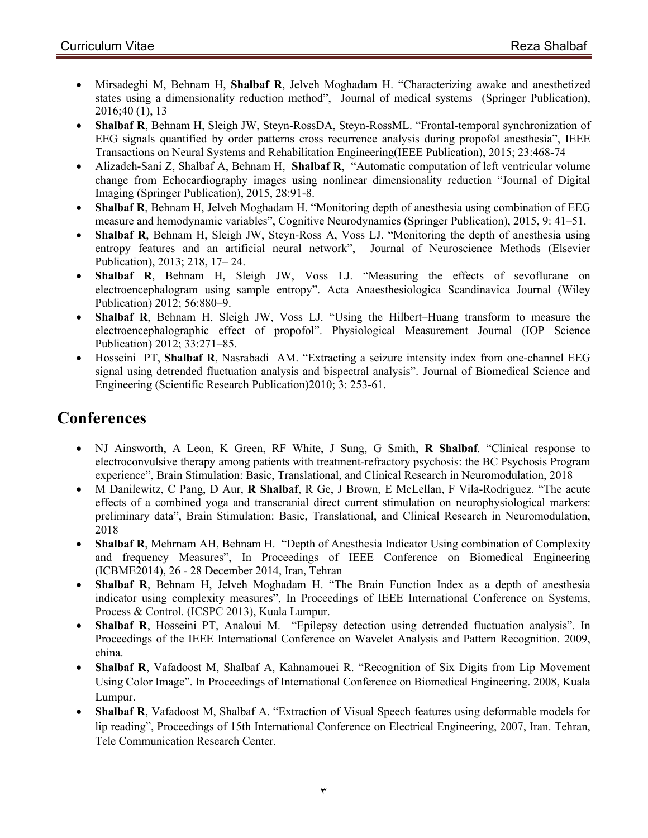- Mirsadeghi M, Behnam H, **Shalbaf R**, Jelveh Moghadam H. "Characterizing awake and anesthetized states using a dimensionality reduction method", Journal of medical systems (Springer Publication), 2016;40 (1), 13
- **Shalbaf R**, Behnam H, Sleigh JW, Steyn-RossDA, Steyn-RossML. "Frontal-temporal synchronization of EEG signals quantified by order patterns cross recurrence analysis during propofol anesthesia", IEEE Transactions on Neural Systems and Rehabilitation Engineering(IEEE Publication), 2015; 23:468-74
- Alizadeh-Sani Z, Shalbaf A, Behnam H, **Shalbaf R**, "Automatic computation of left ventricular volume change from Echocardiography images using nonlinear dimensionality reduction "Journal of Digital Imaging (Springer Publication), 2015, 28:91-8.
- **Shalbaf R**, Behnam H, Jelveh Moghadam H. "Monitoring depth of anesthesia using combination of EEG measure and hemodynamic variables", Cognitive Neurodynamics (Springer Publication), 2015, 9: 41–51.
- **Shalbaf R**, Behnam H, Sleigh JW, Steyn-Ross A, Voss LJ. "Monitoring the depth of anesthesia using entropy features and an artificial neural network", Journal of Neuroscience Methods (Elsevier Publication), 2013; 218, 17– 24.
- **Shalbaf R**, Behnam H, Sleigh JW, Voss LJ. "Measuring the effects of sevoflurane on electroencephalogram using sample entropy". Acta Anaesthesiologica Scandinavica Journal (Wiley Publication) 2012; 56:880–9.
- **Shalbaf R**, Behnam H, Sleigh JW, Voss LJ. "Using the Hilbert–Huang transform to measure the electroencephalographic effect of propofol". Physiological Measurement Journal (IOP Science Publication) 2012; 33:271–85.
- Hosseini PT, **Shalbaf R**, Nasrabadi AM. "Extracting a seizure intensity index from one-channel EEG signal using detrended fluctuation analysis and bispectral analysis". Journal of Biomedical Science and Engineering (Scientific Research Publication)2010; 3: 253-61.

# **Conferences**

- NJ Ainsworth, A Leon, K Green, RF White, J Sung, G Smith, **R Shalbaf**. "Clinical response to electroconvulsive therapy among patients with treatment-refractory psychosis: the BC Psychosis Program experience", Brain Stimulation: Basic, Translational, and Clinical Research in Neuromodulation, 2018
- M Danilewitz, C Pang, D Aur, **R Shalbaf**, R Ge, J Brown, E McLellan, F Vila-Rodriguez. "The acute effects of a combined yoga and transcranial direct current stimulation on neurophysiological markers: preliminary data", Brain Stimulation: Basic, Translational, and Clinical Research in Neuromodulation, 2018
- **Shalbaf R**, Mehrnam AH, Behnam H. "Depth of Anesthesia Indicator Using combination of Complexity and frequency Measures", In Proceedings of IEEE Conference on Biomedical Engineering (ICBME2014), 26 - 28 December 2014, Iran, Tehran
- **Shalbaf R**, Behnam H, Jelveh Moghadam H. "The Brain Function Index as a depth of anesthesia indicator using complexity measures", In Proceedings of IEEE International Conference on Systems, Process & Control. (ICSPC 2013), Kuala Lumpur.
- **Shalbaf R**, Hosseini PT, Analoui M. "Epilepsy detection using detrended fluctuation analysis". In Proceedings of the IEEE International Conference on Wavelet Analysis and Pattern Recognition. 2009, china.
- **Shalbaf R**, Vafadoost M, Shalbaf A, Kahnamouei R. "Recognition of Six Digits from Lip Movement Using Color Image". In Proceedings of International Conference on Biomedical Engineering. 2008, Kuala Lumpur.
- **Shalbaf R**, Vafadoost M, Shalbaf A. "Extraction of Visual Speech features using deformable models for lip reading", Proceedings of 15th International Conference on Electrical Engineering, 2007, Iran. Tehran, Tele Communication Research Center.